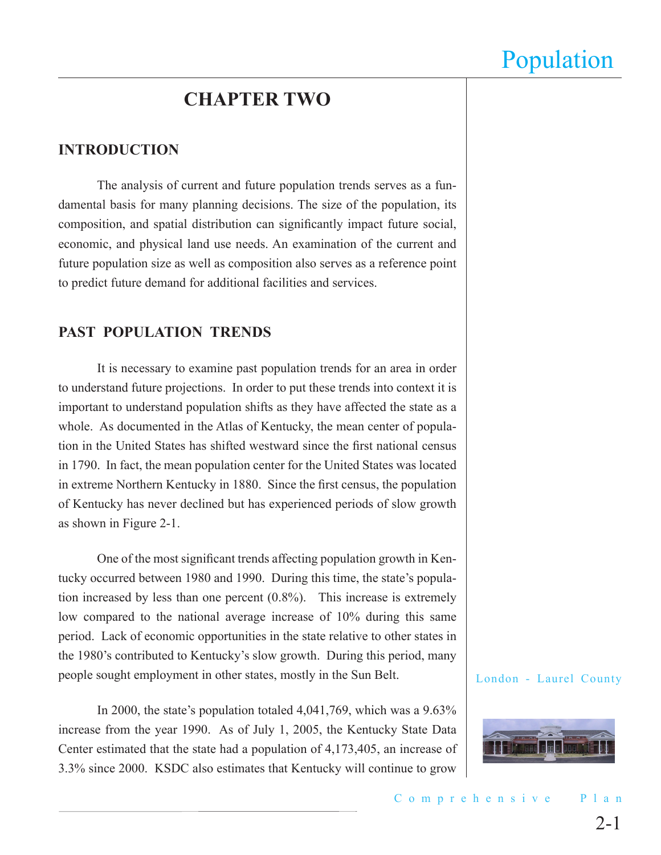### **CHAPTER TWO**

### **INTRODUCTION**

The analysis of current and future population trends serves as a fundamental basis for many planning decisions. The size of the population, its composition, and spatial distribution can significantly impact future social, economic, and physical land use needs. An examination of the current and future population size as well as composition also serves as a reference point to predict future demand for additional facilities and services.

### **PAST POPULATION TRENDS**

It is necessary to examine past population trends for an area in order to understand future projections. In order to put these trends into context it is important to understand population shifts as they have affected the state as a whole. As documented in the Atlas of Kentucky, the mean center of population in the United States has shifted westward since the first national census in 1790. In fact, the mean population center for the United States was located in extreme Northern Kentucky in 1880. Since the first census, the population of Kentucky has never declined but has experienced periods of slow growth as shown in Figure 2-1.

One of the most significant trends affecting population growth in Kentucky occurred between 1980 and 1990. During this time, the state's population increased by less than one percent (0.8%). This increase is extremely low compared to the national average increase of 10% during this same period. Lack of economic opportunities in the state relative to other states in the 1980's contributed to Kentucky's slow growth. During this period, many people sought employment in other states, mostly in the Sun Belt.

In 2000, the state's population totaled 4,041,769, which was a 9.63% increase from the year 1990. As of July 1, 2005, the Kentucky State Data Center estimated that the state had a population of 4,173,405, an increase of 3.3% since 2000. KSDC also estimates that Kentucky will continue to grow

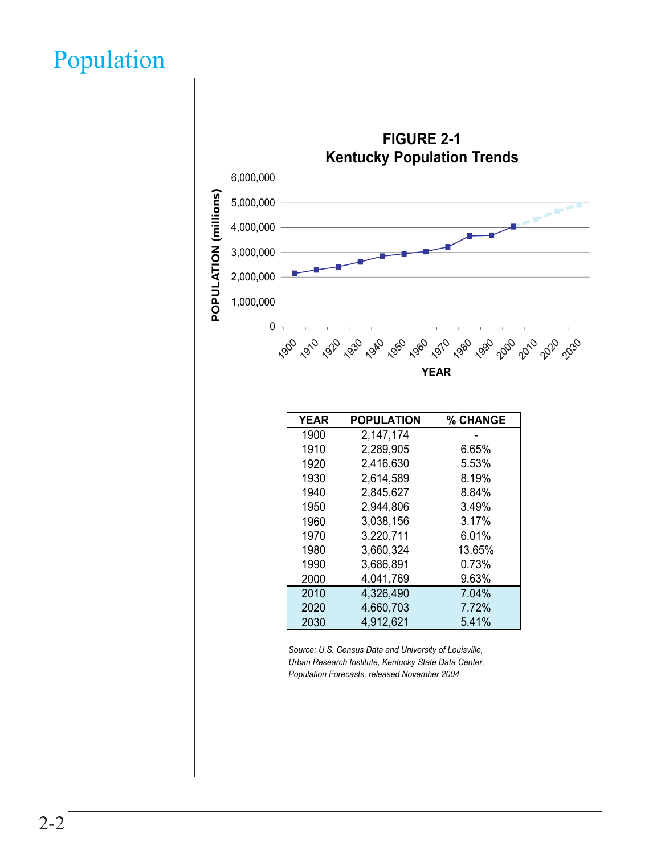

*Population Forecasts, released November 2004*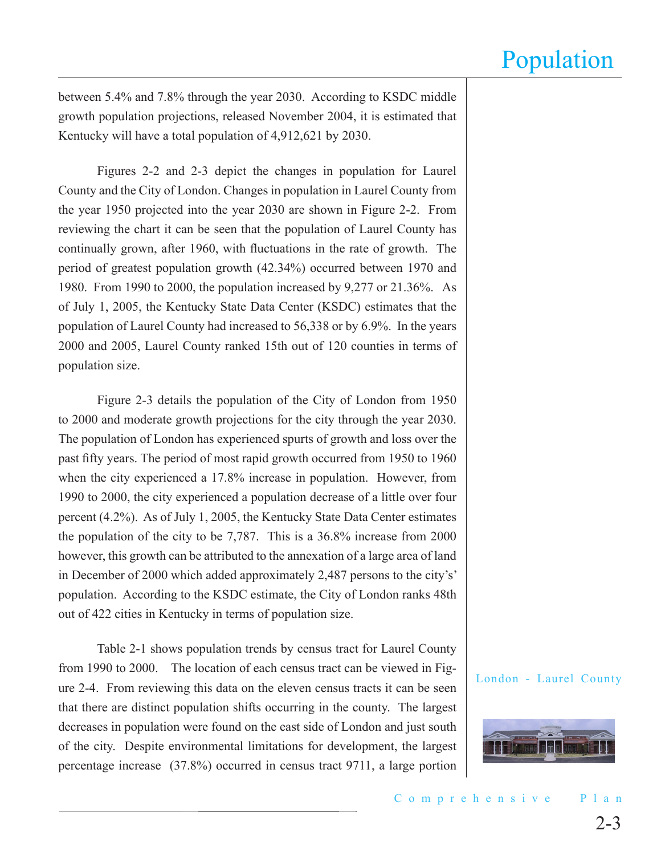between 5.4% and 7.8% through the year 2030. According to KSDC middle growth population projections, released November 2004, it is estimated that Kentucky will have a total population of 4,912,621 by 2030.

Figures 2-2 and 2-3 depict the changes in population for Laurel County and the City of London. Changes in population in Laurel County from the year 1950 projected into the year 2030 are shown in Figure 2-2. From reviewing the chart it can be seen that the population of Laurel County has continually grown, after 1960, with fluctuations in the rate of growth. The period of greatest population growth (42.34%) occurred between 1970 and 1980. From 1990 to 2000, the population increased by 9,277 or 21.36%. As of July 1, 2005, the Kentucky State Data Center (KSDC) estimates that the population of Laurel County had increased to 56,338 or by 6.9%. In the years 2000 and 2005, Laurel County ranked 15th out of 120 counties in terms of population size.

Figure 2-3 details the population of the City of London from 1950 to 2000 and moderate growth projections for the city through the year 2030. The population of London has experienced spurts of growth and loss over the past fifty years. The period of most rapid growth occurred from 1950 to 1960 when the city experienced a 17.8% increase in population. However, from 1990 to 2000, the city experienced a population decrease of a little over four percent (4.2%). As of July 1, 2005, the Kentucky State Data Center estimates the population of the city to be 7,787. This is a 36.8% increase from 2000 however, this growth can be attributed to the annexation of a large area of land in December of 2000 which added approximately 2,487 persons to the city's' population. According to the KSDC estimate, the City of London ranks 48th out of 422 cities in Kentucky in terms of population size.

Table 2-1 shows population trends by census tract for Laurel County from 1990 to 2000. The location of each census tract can be viewed in Figure 2-4. From reviewing this data on the eleven census tracts it can be seen that there are distinct population shifts occurring in the county. The largest decreases in population were found on the east side of London and just south of the city. Despite environmental limitations for development, the largest percentage increase (37.8%) occurred in census tract 9711, a large portion

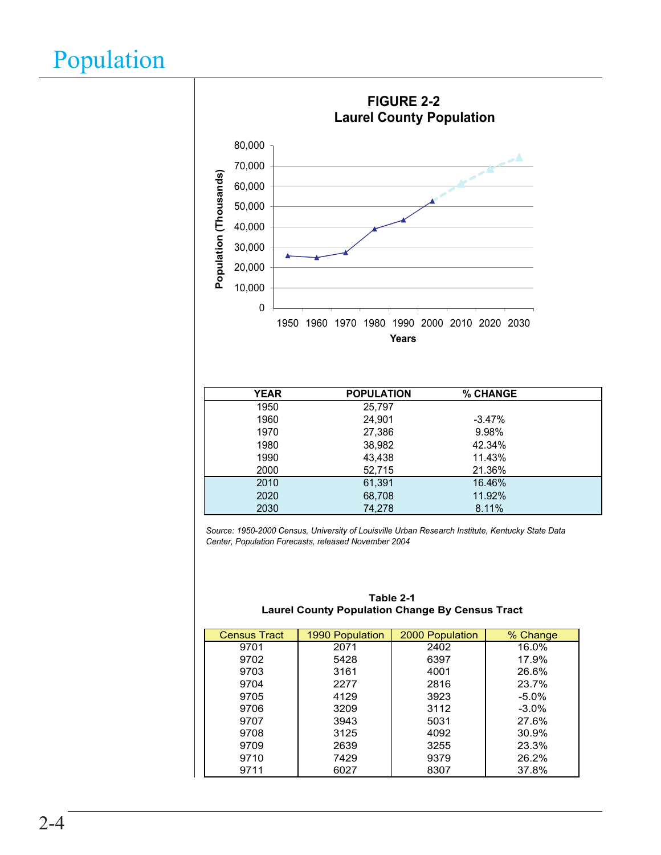

| <b>YEAR</b> | <b>POPULATION</b> | % CHANGE  |  |
|-------------|-------------------|-----------|--|
| 1950        | 25,797            |           |  |
| 1960        | 24,901            | $-3.47\%$ |  |
| 1970        | 27,386            | 9.98%     |  |
| 1980        | 38,982            | 42.34%    |  |
| 1990        | 43,438            | 11.43%    |  |
| 2000        | 52,715            | 21.36%    |  |
| 2010        | 61,391            | 16.46%    |  |
| 2020        | 68,708            | 11.92%    |  |
| 2030        | 74,278            | 8.11%     |  |

*Source: 1950-2000 Census, University of Louisville Urban Research Institute, Kentucky State Data Center, Population Forecasts, released November 2004*

| <b>Census Tract</b> | 1990 Population | 2000 Population | % Change |
|---------------------|-----------------|-----------------|----------|
| 9701                | 2071            | 2402            | 16.0%    |
| 9702                | 5428            | 6397            | 17.9%    |
| 9703                | 3161            | 4001            | 26.6%    |
| 9704                | 2277            | 2816            | 23.7%    |
| 9705                | 4129            | 3923            | $-5.0\%$ |
| 9706                | 3209            | 3112            | $-3.0\%$ |
| 9707                | 3943            | 5031            | 27.6%    |
| 9708                | 3125            | 4092            | 30.9%    |
| 9709                | 2639            | 3255            | 23.3%    |
| 9710                | 7429            | 9379            | 26.2%    |
| 9711                | 6027            | 8307            | 37.8%    |

| Table 2-1                                              |  |  |  |  |
|--------------------------------------------------------|--|--|--|--|
| <b>Laurel County Population Change By Census Tract</b> |  |  |  |  |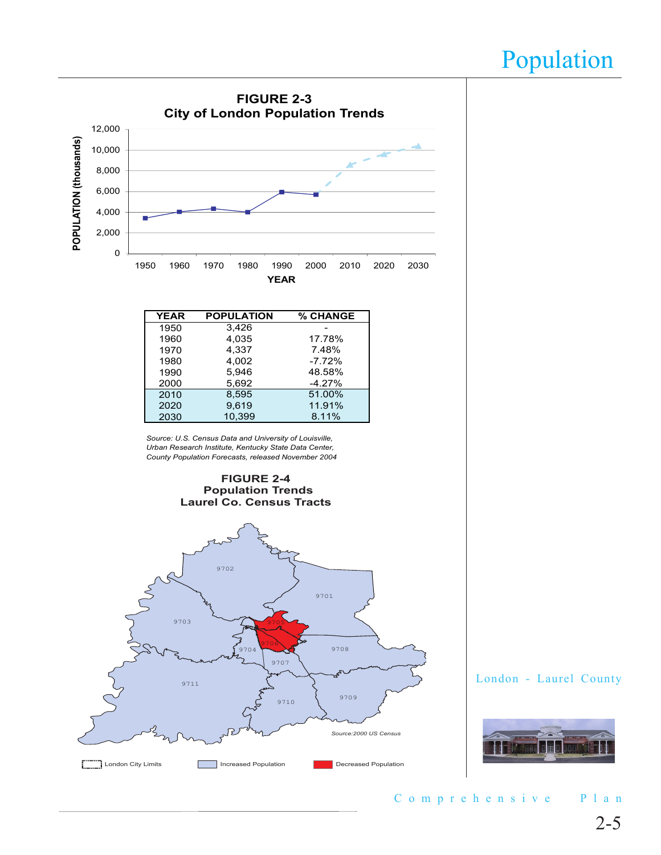

C o m p r e h e n s i v e P l a n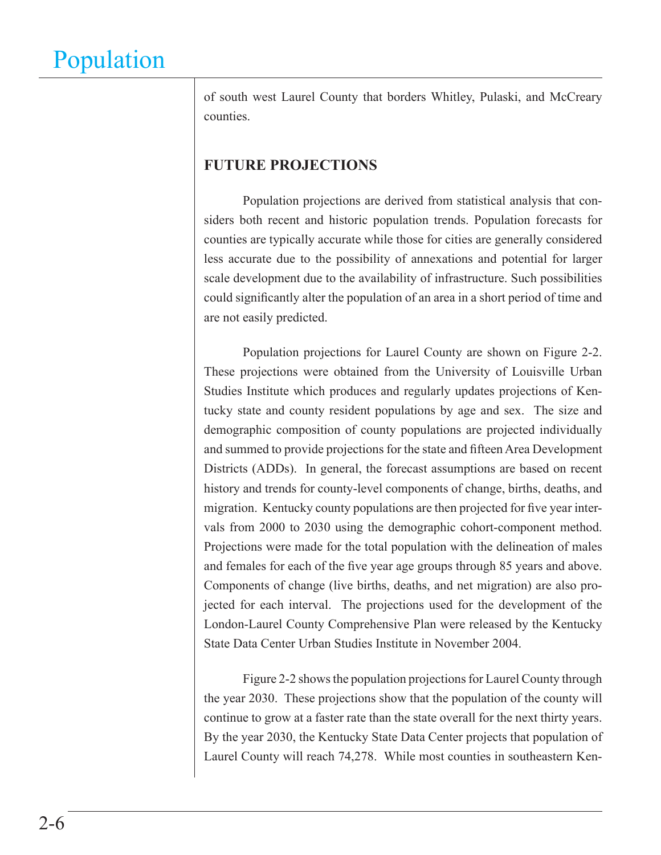of south west Laurel County that borders Whitley, Pulaski, and McCreary counties.

### **FUTURE PROJECTIONS**

Population projections are derived from statistical analysis that considers both recent and historic population trends. Population forecasts for counties are typically accurate while those for cities are generally considered less accurate due to the possibility of annexations and potential for larger scale development due to the availability of infrastructure. Such possibilities could significantly alter the population of an area in a short period of time and are not easily predicted.

Population projections for Laurel County are shown on Figure 2-2. These projections were obtained from the University of Louisville Urban Studies Institute which produces and regularly updates projections of Kentucky state and county resident populations by age and sex. The size and demographic composition of county populations are projected individually and summed to provide projections for the state and fifteen Area Development Districts (ADDs). In general, the forecast assumptions are based on recent history and trends for county-level components of change, births, deaths, and migration. Kentucky county populations are then projected for five year intervals from 2000 to 2030 using the demographic cohort-component method. Projections were made for the total population with the delineation of males and females for each of the five year age groups through 85 years and above. Components of change (live births, deaths, and net migration) are also projected for each interval. The projections used for the development of the London-Laurel County Comprehensive Plan were released by the Kentucky State Data Center Urban Studies Institute in November 2004.

Figure 2-2 shows the population projections for Laurel County through the year 2030. These projections show that the population of the county will continue to grow at a faster rate than the state overall for the next thirty years. By the year 2030, the Kentucky State Data Center projects that population of Laurel County will reach 74,278. While most counties in southeastern Ken-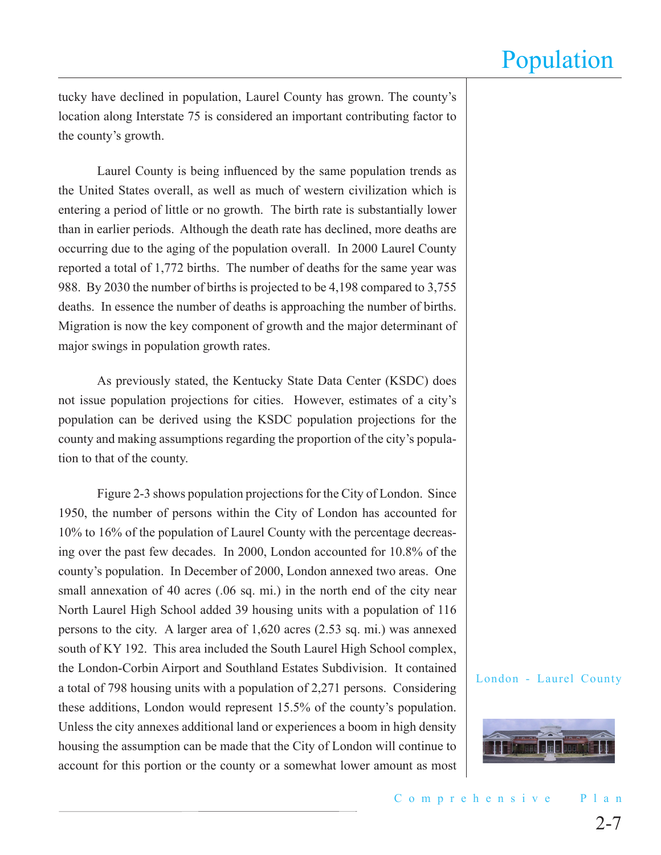tucky have declined in population, Laurel County has grown. The county's location along Interstate 75 is considered an important contributing factor to the county's growth.

Laurel County is being influenced by the same population trends as the United States overall, as well as much of western civilization which is entering a period of little or no growth. The birth rate is substantially lower than in earlier periods. Although the death rate has declined, more deaths are occurring due to the aging of the population overall. In 2000 Laurel County reported a total of 1,772 births. The number of deaths for the same year was 988. By 2030 the number of births is projected to be 4,198 compared to 3,755 deaths. In essence the number of deaths is approaching the number of births. Migration is now the key component of growth and the major determinant of major swings in population growth rates.

As previously stated, the Kentucky State Data Center (KSDC) does not issue population projections for cities. However, estimates of a city's population can be derived using the KSDC population projections for the county and making assumptions regarding the proportion of the city's population to that of the county.

Figure 2-3 shows population projections for the City of London. Since 1950, the number of persons within the City of London has accounted for 10% to 16% of the population of Laurel County with the percentage decreasing over the past few decades. In 2000, London accounted for 10.8% of the county's population. In December of 2000, London annexed two areas. One small annexation of 40 acres (.06 sq. mi.) in the north end of the city near North Laurel High School added 39 housing units with a population of 116 persons to the city. A larger area of 1,620 acres (2.53 sq. mi.) was annexed south of KY 192. This area included the South Laurel High School complex, the London-Corbin Airport and Southland Estates Subdivision. It contained a total of 798 housing units with a population of 2,271 persons. Considering these additions, London would represent 15.5% of the county's population. Unless the city annexes additional land or experiences a boom in high density housing the assumption can be made that the City of London will continue to account for this portion or the county or a somewhat lower amount as most

![](_page_6_Picture_6.jpeg)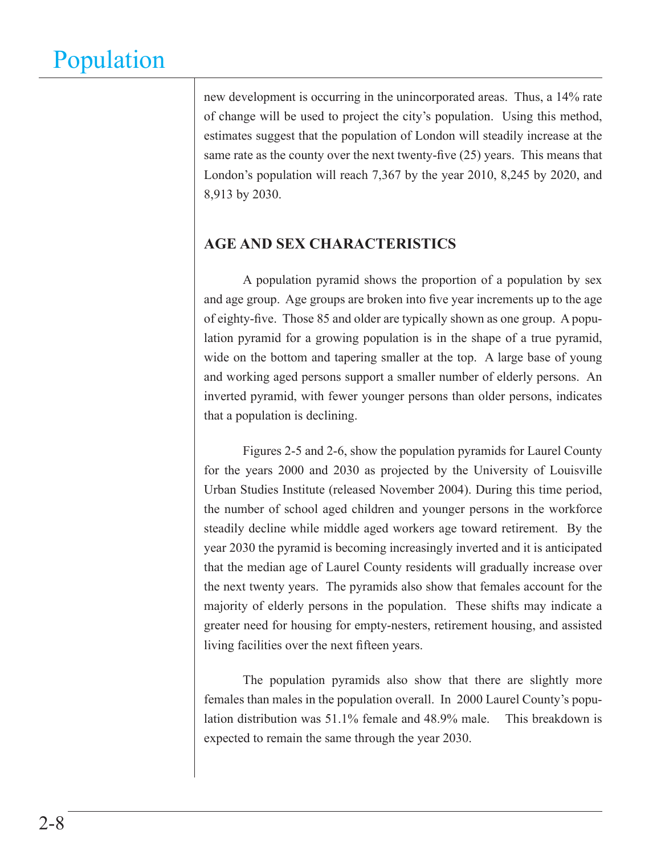new development is occurring in the unincorporated areas. Thus, a 14% rate of change will be used to project the city's population. Using this method, estimates suggest that the population of London will steadily increase at the same rate as the county over the next twenty-five (25) years. This means that London's population will reach 7,367 by the year 2010, 8,245 by 2020, and 8,913 by 2030.

### **AGE AND SEX CHARACTERISTICS**

A population pyramid shows the proportion of a population by sex and age group. Age groups are broken into five year increments up to the age of eighty-five. Those 85 and older are typically shown as one group. A population pyramid for a growing population is in the shape of a true pyramid, wide on the bottom and tapering smaller at the top. A large base of young and working aged persons support a smaller number of elderly persons. An inverted pyramid, with fewer younger persons than older persons, indicates that a population is declining.

Figures 2-5 and 2-6, show the population pyramids for Laurel County for the years 2000 and 2030 as projected by the University of Louisville Urban Studies Institute (released November 2004). During this time period, the number of school aged children and younger persons in the workforce steadily decline while middle aged workers age toward retirement. By the year 2030 the pyramid is becoming increasingly inverted and it is anticipated that the median age of Laurel County residents will gradually increase over the next twenty years. The pyramids also show that females account for the majority of elderly persons in the population. These shifts may indicate a greater need for housing for empty-nesters, retirement housing, and assisted living facilities over the next fifteen years.

The population pyramids also show that there are slightly more females than males in the population overall. In 2000 Laurel County's population distribution was 51.1% female and 48.9% male. This breakdown is expected to remain the same through the year 2030.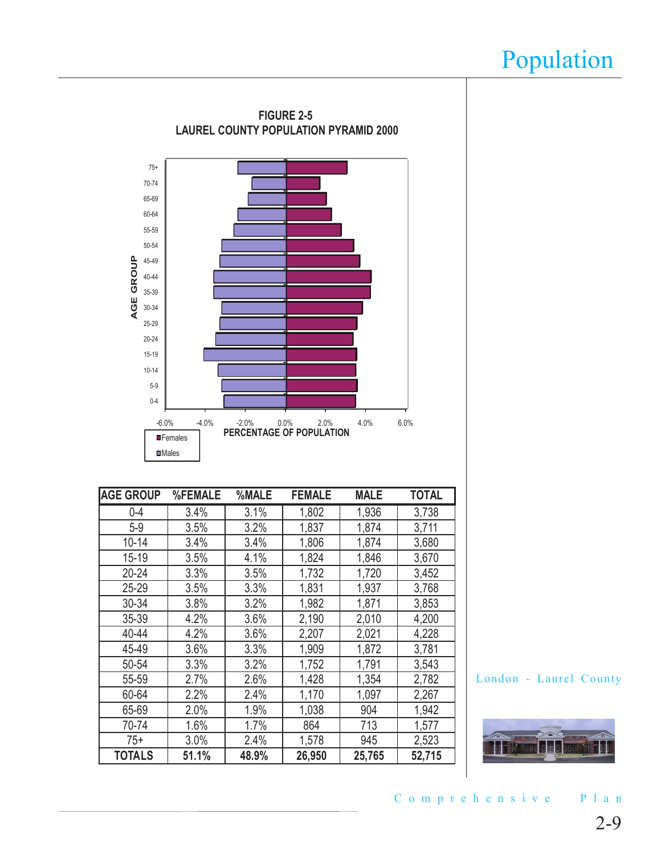![](_page_8_Figure_1.jpeg)

| <b>AGE GROUP</b> | %FEMALE | %MALE | <b>FEMALE</b> | <b>MALE</b> | <b>TOTAL</b> |
|------------------|---------|-------|---------------|-------------|--------------|
| $0 - 4$          | 3.4%    | 3.1%  | 1,802         | 1,936       | 3,738        |
| $5-9$            | 3.5%    | 3.2%  | 1,837         | 1,874       | 3,711        |
| $10 - 14$        | 3.4%    | 3.4%  | 1,806         | 1,874       | 3,680        |
| $15 - 19$        | 3.5%    | 4.1%  | 1,824         | 1,846       | 3,670        |
| $20 - 24$        | 3.3%    | 3.5%  | 1,732         | 1,720       | 3,452        |
| 25-29            | 3.5%    | 3.3%  | 1,831         | 1,937       | 3,768        |
| 30-34            | 3.8%    | 3.2%  | 1,982         | 1,871       | 3,853        |
| 35-39            | 4.2%    | 3.6%  | 2,190         | 2,010       | 4,200        |
| 40-44            | 4.2%    | 3.6%  | 2,207         | 2,021       | 4,228        |
| 45-49            | 3.6%    | 3.3%  | 1,909         | 1,872       | 3,781        |
| 50-54            | 3.3%    | 3.2%  | 1,752         | 1,791       | 3,543        |
| 55-59            | 2.7%    | 2.6%  | 1,428         | 1,354       | 2,782        |
| 60-64            | 2.2%    | 2.4%  | 1,170         | 1,097       | 2,267        |
| 65-69            | 2.0%    | 1.9%  | 1,038         | 904         | 1,942        |
| 70-74            | 1.6%    | 1.7%  | 864           | 713         | 1,577        |
| $75+$            | 3.0%    | 2.4%  | 1,578         | 945         | 2,523        |
| <b>TOTALS</b>    | 51.1%   | 48.9% | 26,950        | 25,765      | 52,715       |

London - Laurel County

![](_page_8_Picture_4.jpeg)

C o m p r e h e n s i v e P l a n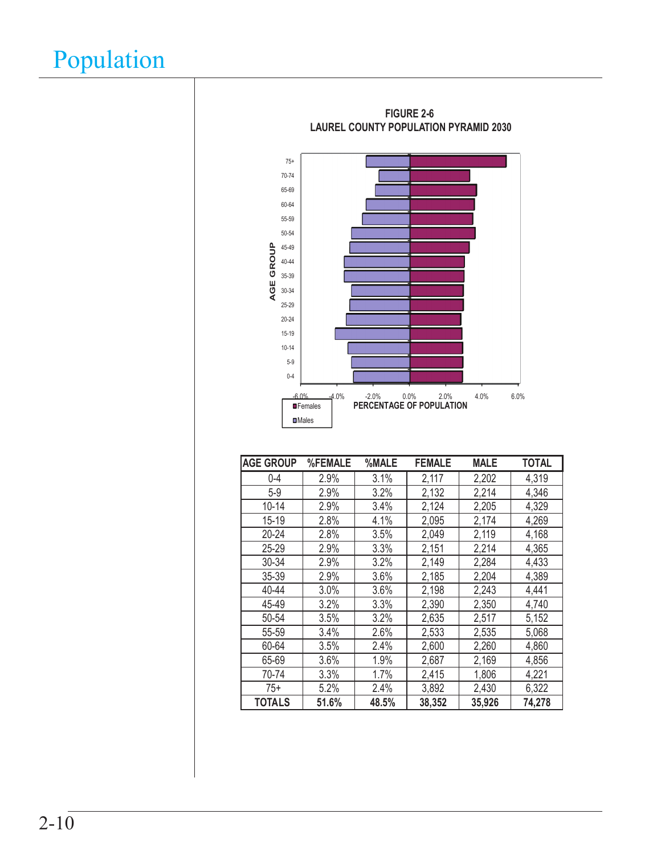![](_page_9_Figure_1.jpeg)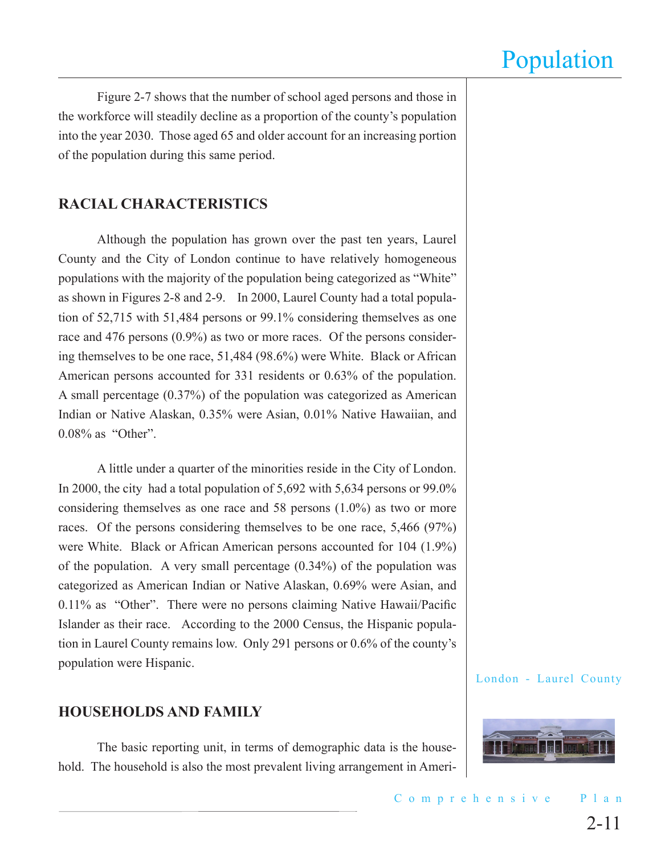Figure 2-7 shows that the number of school aged persons and those in the workforce will steadily decline as a proportion of the county's population into the year 2030. Those aged 65 and older account for an increasing portion of the population during this same period.

### **RACIAL CHARACTERISTICS**

Although the population has grown over the past ten years, Laurel County and the City of London continue to have relatively homogeneous populations with the majority of the population being categorized as "White" as shown in Figures 2-8 and 2-9. In 2000, Laurel County had a total population of 52,715 with 51,484 persons or 99.1% considering themselves as one race and 476 persons (0.9%) as two or more races. Of the persons considering themselves to be one race, 51,484 (98.6%) were White. Black or African American persons accounted for 331 residents or 0.63% of the population. A small percentage (0.37%) of the population was categorized as American Indian or Native Alaskan, 0.35% were Asian, 0.01% Native Hawaiian, and 0.08% as "Other".

A little under a quarter of the minorities reside in the City of London. In 2000, the city had a total population of 5,692 with 5,634 persons or 99.0% considering themselves as one race and 58 persons (1.0%) as two or more races. Of the persons considering themselves to be one race, 5,466 (97%) were White. Black or African American persons accounted for 104 (1.9%) of the population. A very small percentage (0.34%) of the population was categorized as American Indian or Native Alaskan, 0.69% were Asian, and 0.11% as "Other". There were no persons claiming Native Hawaii/Pacific Islander as their race. According to the 2000 Census, the Hispanic population in Laurel County remains low. Only 291 persons or 0.6% of the county's population were Hispanic.

### **HOUSEHOLDS AND FAMILY**

The basic reporting unit, in terms of demographic data is the household. The household is also the most prevalent living arrangement in Ameri-

![](_page_10_Picture_8.jpeg)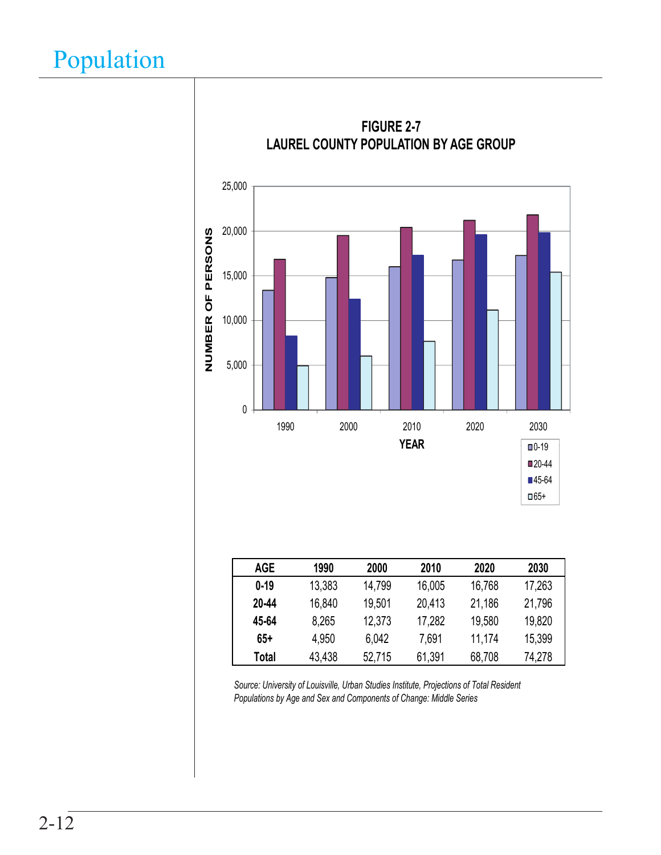![](_page_11_Figure_1.jpeg)

*Source: University of Louisville, Urban Studies Institute, Projections of Total Resident Populations by Age and Sex and Components of Change: Middle Series*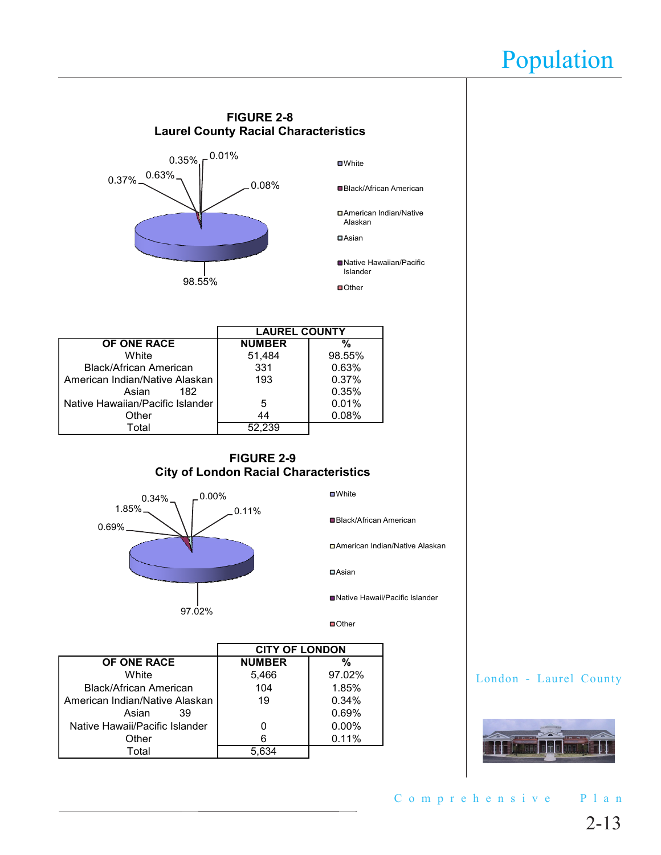![](_page_12_Figure_1.jpeg)

![](_page_12_Picture_2.jpeg)

2-13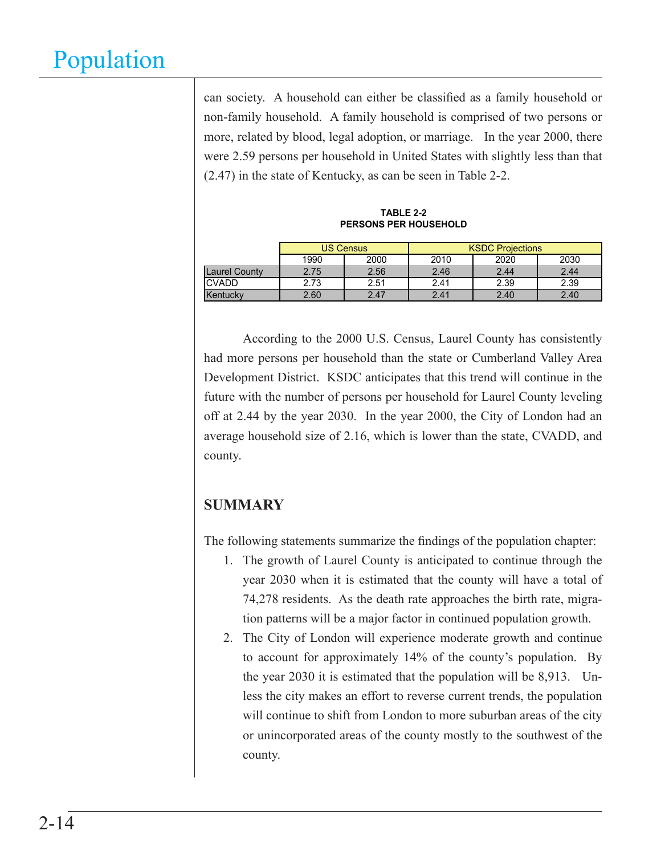can society. A household can either be classified as a family household or non-family household. A family household is comprised of two persons or more, related by blood, legal adoption, or marriage. In the year 2000, there were 2.59 persons per household in United States with slightly less than that (2.47) in the state of Kentucky, as can be seen in Table 2-2.

**TABLE 2-2 PERSONS PER HOUSEHOLD**

|                      | US Census |      | <b>KSDC Projections</b> |      |      |  |
|----------------------|-----------|------|-------------------------|------|------|--|
|                      | 1990      | 2000 | 2010                    | 2020 | 2030 |  |
| <b>Laurel County</b> | 2.75      | 2.56 | 2.46                    | 2.44 | 2.44 |  |
| <b>CVADD</b>         | 2.73      | 2.51 | 2.41                    | 2.39 | 2.39 |  |
| Kentucky             | 2.60      | 2.47 | 2.41                    | 2.40 | 2.40 |  |

According to the 2000 U.S. Census, Laurel County has consistently had more persons per household than the state or Cumberland Valley Area Development District. KSDC anticipates that this trend will continue in the future with the number of persons per household for Laurel County leveling off at 2.44 by the year 2030. In the year 2000, the City of London had an average household size of 2.16, which is lower than the state, CVADD, and county.

### **SUMMARY**

The following statements summarize the findings of the population chapter:

- 1. The growth of Laurel County is anticipated to continue through the year 2030 when it is estimated that the county will have a total of 74,278 residents. As the death rate approaches the birth rate, migration patterns will be a major factor in continued population growth.
- 2. The City of London will experience moderate growth and continue to account for approximately 14% of the county's population. By the year 2030 it is estimated that the population will be 8,913. Unless the city makes an effort to reverse current trends, the population will continue to shift from London to more suburban areas of the city or unincorporated areas of the county mostly to the southwest of the county.